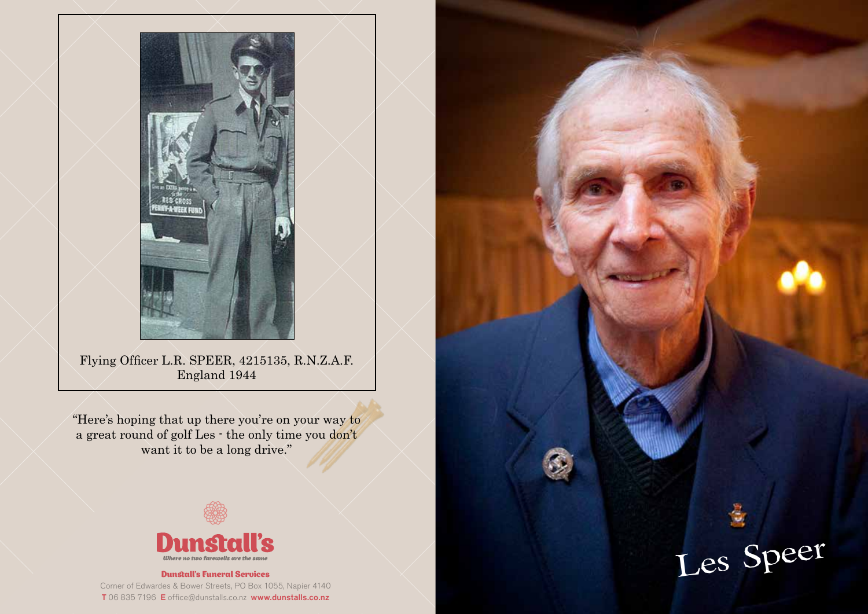

Flying Officer L.R. SPEER, 4215135, R.N.Z.A.F. England 1944

"Here's hoping that up there you're on your way to a great round of golf Les - the only time you don't want it to be a long drive."



#### Dunstall's Funeral Services

Les Speer

Corner of Edwardes & Bower Streets, PO Box 1055, Napier 4140 T 06 835 7196 E office@dunstalls.co.nz www.dunstalls.co.nz